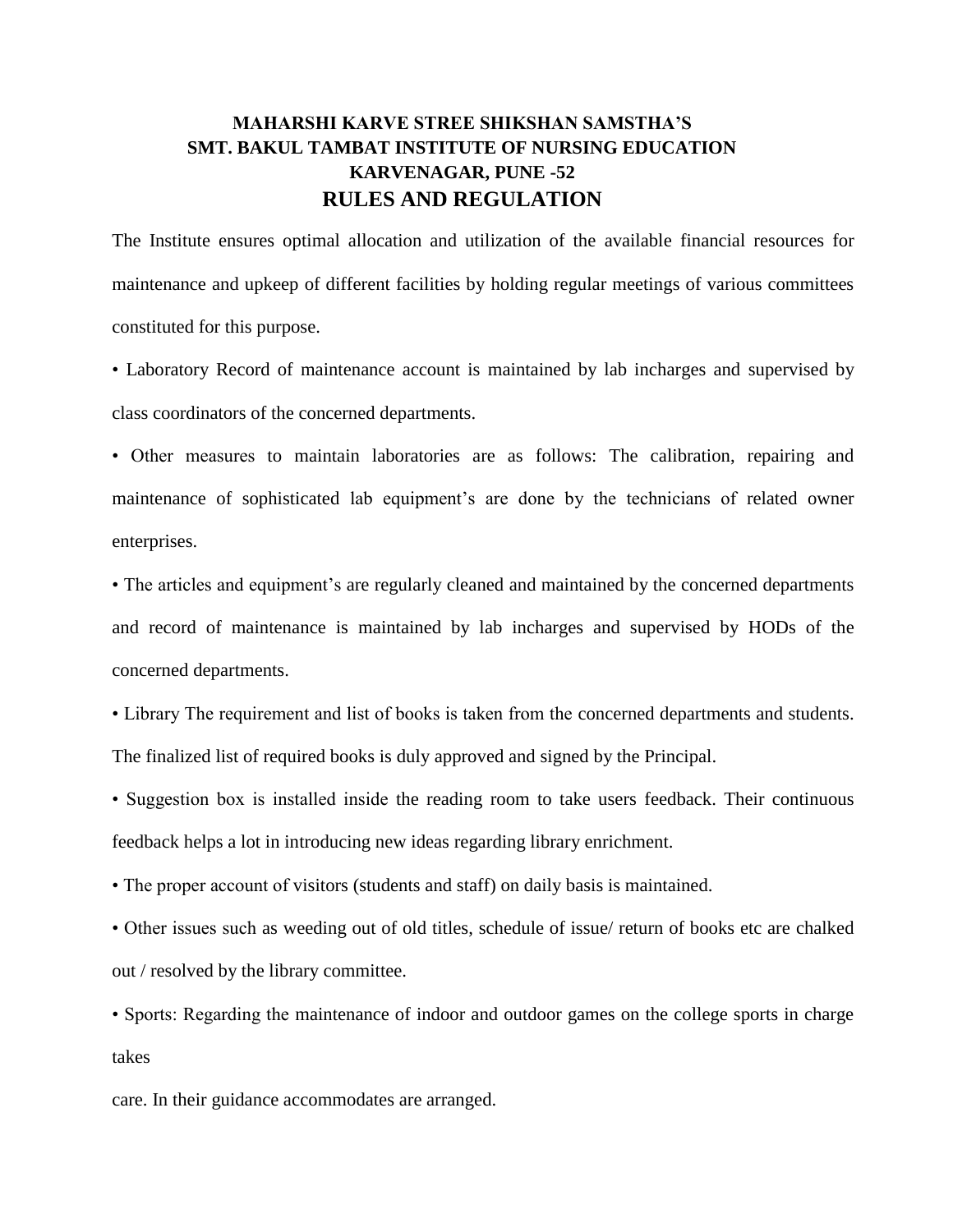## **MAHARSHI KARVE STREE SHIKSHAN SAMSTHA'S SMT. BAKUL TAMBAT INSTITUTE OF NURSING EDUCATION KARVENAGAR, PUNE -52 RULES AND REGULATION**

The Institute ensures optimal allocation and utilization of the available financial resources for maintenance and upkeep of different facilities by holding regular meetings of various committees constituted for this purpose.

• Laboratory Record of maintenance account is maintained by lab incharges and supervised by class coordinators of the concerned departments.

• Other measures to maintain laboratories are as follows: The calibration, repairing and maintenance of sophisticated lab equipment's are done by the technicians of related owner enterprises.

• The articles and equipment's are regularly cleaned and maintained by the concerned departments and record of maintenance is maintained by lab incharges and supervised by HODs of the concerned departments.

• Library The requirement and list of books is taken from the concerned departments and students. The finalized list of required books is duly approved and signed by the Principal.

• Suggestion box is installed inside the reading room to take users feedback. Their continuous feedback helps a lot in introducing new ideas regarding library enrichment.

• The proper account of visitors (students and staff) on daily basis is maintained.

• Other issues such as weeding out of old titles, schedule of issue/ return of books etc are chalked out / resolved by the library committee.

• Sports: Regarding the maintenance of indoor and outdoor games on the college sports in charge takes

care. In their guidance accommodates are arranged.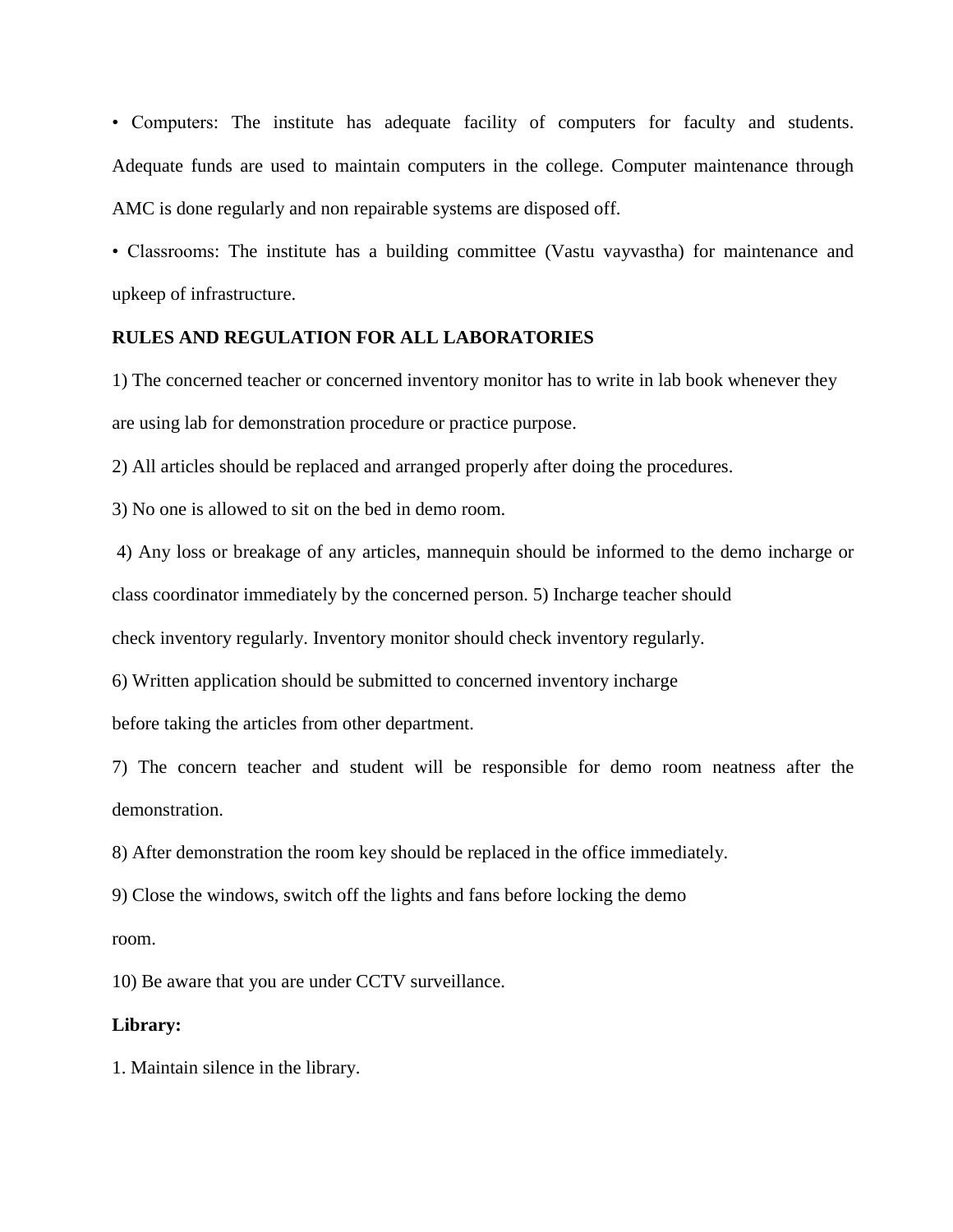• Computers: The institute has adequate facility of computers for faculty and students. Adequate funds are used to maintain computers in the college. Computer maintenance through AMC is done regularly and non repairable systems are disposed off.

• Classrooms: The institute has a building committee (Vastu vayvastha) for maintenance and upkeep of infrastructure.

## **RULES AND REGULATION FOR ALL LABORATORIES**

1) The concerned teacher or concerned inventory monitor has to write in lab book whenever they are using lab for demonstration procedure or practice purpose.

2) All articles should be replaced and arranged properly after doing the procedures.

3) No one is allowed to sit on the bed in demo room.

4) Any loss or breakage of any articles, mannequin should be informed to the demo incharge or

class coordinator immediately by the concerned person. 5) Incharge teacher should

check inventory regularly. Inventory monitor should check inventory regularly.

6) Written application should be submitted to concerned inventory incharge

before taking the articles from other department.

7) The concern teacher and student will be responsible for demo room neatness after the demonstration.

8) After demonstration the room key should be replaced in the office immediately.

9) Close the windows, switch off the lights and fans before locking the demo

room.

10) Be aware that you are under CCTV surveillance.

## **Library:**

1. Maintain silence in the library.